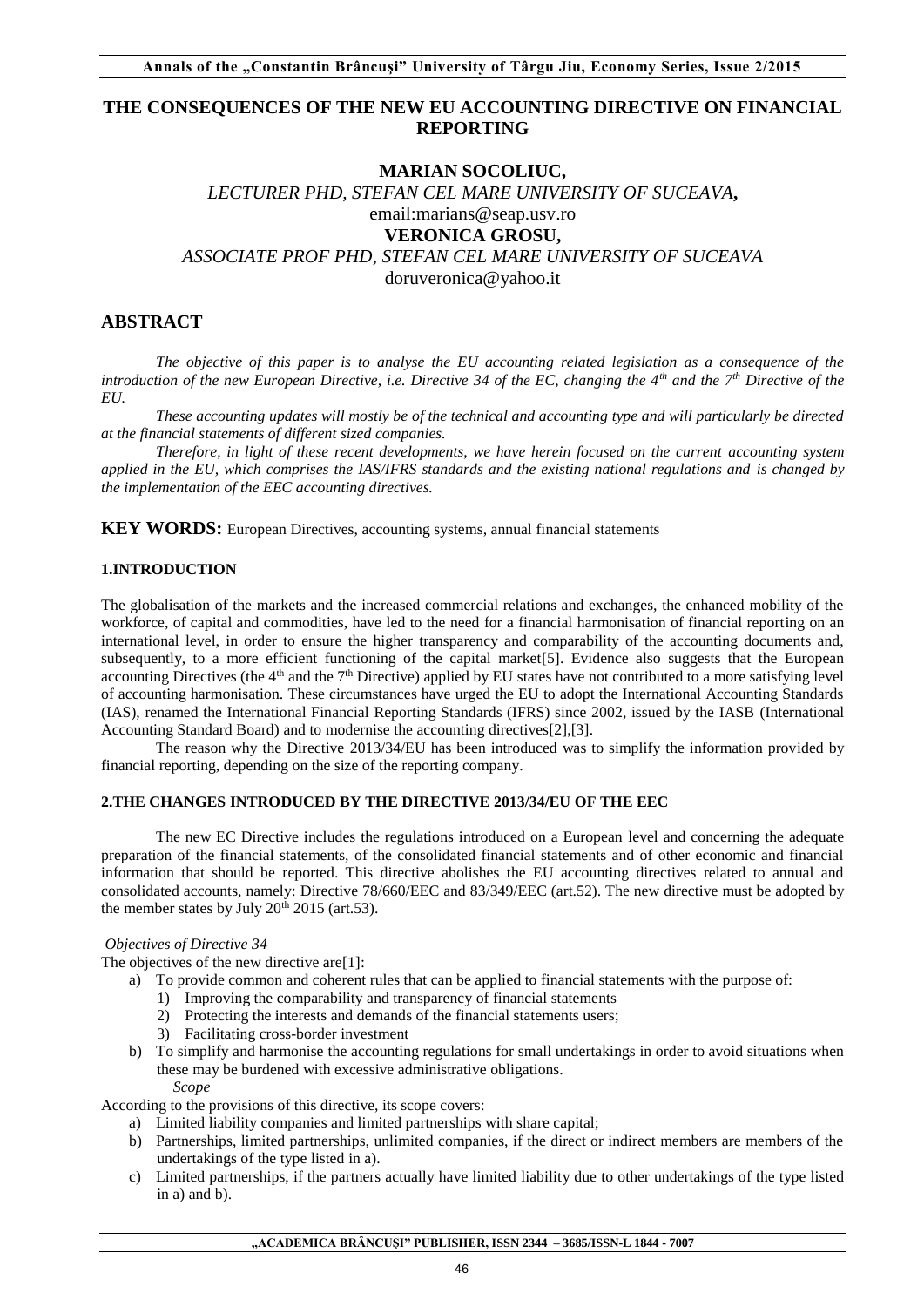# **THE CONSEQUENCES OF THE NEW EU ACCOUNTING DIRECTIVE ON FINANCIAL REPORTING**

# **MARIAN SOCOLIUC,**

*LECTURER PHD, STEFAN CEL MARE UNIVERSITY OF SUCEAVA***,**  email:marians@seap.usv.ro **VERONICA GROSU,**  *ASSOCIATE PROF PHD, STEFAN CEL MARE UNIVERSITY OF SUCEAVA* 

doruveronica@yahoo.it

# **ABSTRACT**

*The objective of this paper is to analyse the EU accounting related legislation as a consequence of the introduction of the new European Directive, i.e. Directive 34 of the EC, changing the 4th and the 7th Directive of the EU.* 

*These accounting updates will mostly be of the technical and accounting type and will particularly be directed at the financial statements of different sized companies.* 

*Therefore, in light of these recent developments, we have herein focused on the current accounting system applied in the EU, which comprises the IAS/IFRS standards and the existing national regulations and is changed by the implementation of the EEC accounting directives.* 

**KEY WORDS:** European Directives, accounting systems, annual financial statements

## **1.INTRODUCTION**

The globalisation of the markets and the increased commercial relations and exchanges, the enhanced mobility of the workforce, of capital and commodities, have led to the need for a financial harmonisation of financial reporting on an international level, in order to ensure the higher transparency and comparability of the accounting documents and, subsequently, to a more efficient functioning of the capital market [5]. Evidence also suggests that the European accounting Directives (the  $4<sup>th</sup>$  and the  $7<sup>th</sup>$  Directive) applied by EU states have not contributed to a more satisfying level of accounting harmonisation. These circumstances have urged the EU to adopt the International Accounting Standards (IAS), renamed the International Financial Reporting Standards (IFRS) since 2002, issued by the IASB (International Accounting Standard Board) and to modernise the accounting directives[2],[3].

 The reason why the Directive 2013/34/EU has been introduced was to simplify the information provided by financial reporting, depending on the size of the reporting company.

## **2.THE CHANGES INTRODUCED BY THE DIRECTIVE 2013/34/EU OF THE EEC**

The new EC Directive includes the regulations introduced on a European level and concerning the adequate preparation of the financial statements, of the consolidated financial statements and of other economic and financial information that should be reported. This directive abolishes the EU accounting directives related to annual and consolidated accounts, namely: Directive 78/660/EEC and 83/349/EEC (art.52). The new directive must be adopted by the member states by July  $20<sup>th</sup> 2015$  (art.53).

## *Objectives of Directive 34*

The objectives of the new directive are<sup>[1]</sup>:

- a) To provide common and coherent rules that can be applied to financial statements with the purpose of:
	- 1) Improving the comparability and transparency of financial statements
	- 2) Protecting the interests and demands of the financial statements users;
	- 3) Facilitating cross-border investment
- b) To simplify and harmonise the accounting regulations for small undertakings in order to avoid situations when these may be burdened with excessive administrative obligations.

## *Scope*

According to the provisions of this directive, its scope covers:

- a) Limited liability companies and limited partnerships with share capital;
- b) Partnerships, limited partnerships, unlimited companies, if the direct or indirect members are members of the undertakings of the type listed in a).
- c) Limited partnerships, if the partners actually have limited liability due to other undertakings of the type listed in a) and b).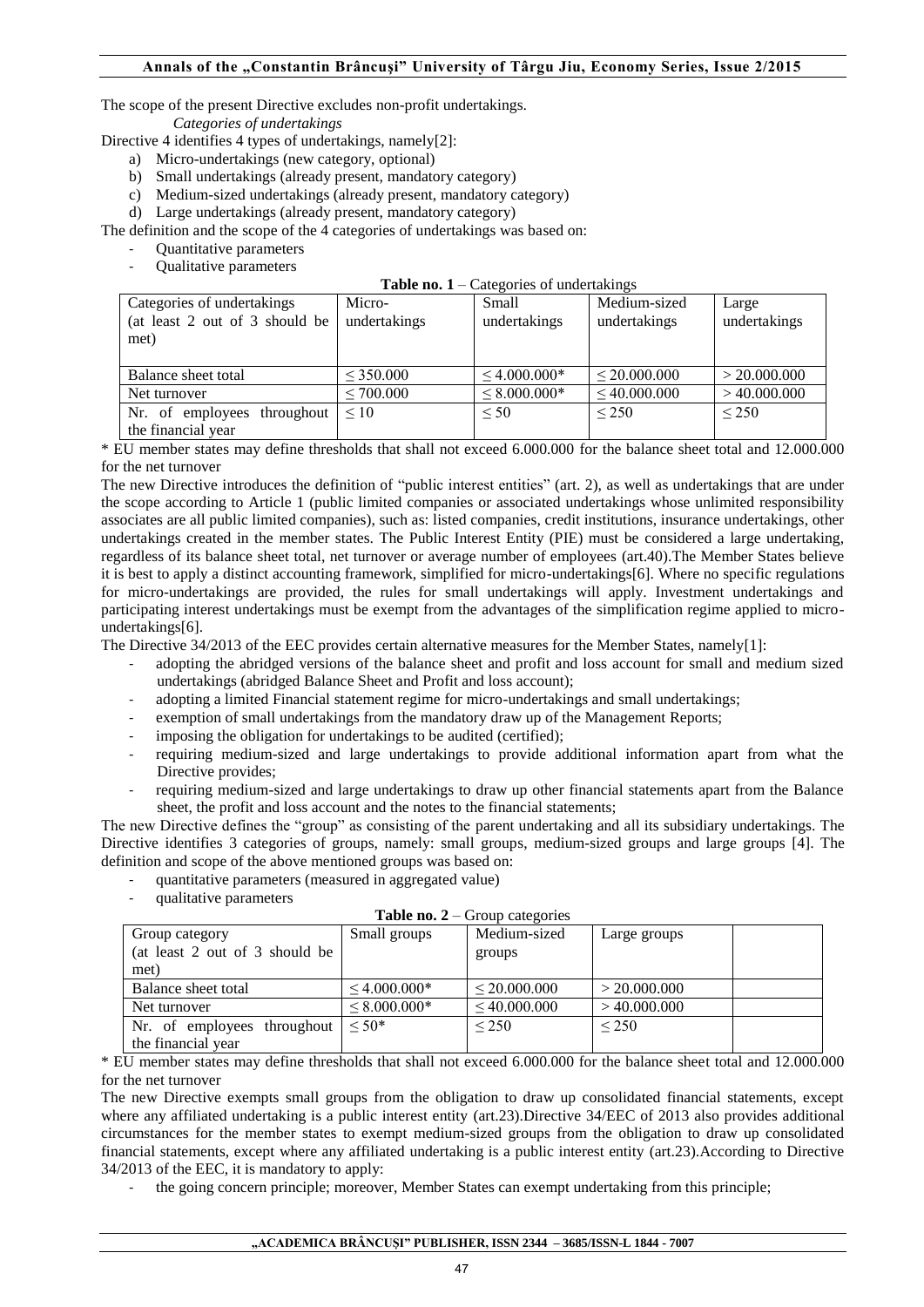The scope of the present Directive excludes non-profit undertakings.

*Categories of undertakings* 

Directive 4 identifies 4 types of undertakings, namely[2]:

- a) Micro-undertakings (new category, optional)
- b) Small undertakings (already present, mandatory category)
- c) Medium-sized undertakings (already present, mandatory category)
- d) Large undertakings (already present, mandatory category)

The definition and the scope of the 4 categories of undertakings was based on:

- Quantitative parameters
- Qualitative parameters

|  |  |  |  |  | Table no. $1 -$ Categories of undertakings |  |
|--|--|--|--|--|--------------------------------------------|--|
|--|--|--|--|--|--------------------------------------------|--|

|                                |                | $\alpha$          |              |              |
|--------------------------------|----------------|-------------------|--------------|--------------|
| Categories of undertakings     | Micro-         | <b>Small</b>      | Medium-sized | Large        |
| (at least 2 out of 3 should be | undertakings   | undertakings      | undertakings | undertakings |
| met)                           |                |                   |              |              |
|                                |                |                   |              |              |
| Balance sheet total            | $<$ 350.000    | $< 4.000.000*$    | < 20,000,000 | > 20.000.000 |
| Net turnover                   | $\leq 700.000$ | $\leq 8.000.000*$ | < 40.000.000 | >40.000.000  |
| Nr. of employees<br>throughout | $\leq 10$      | $\leq 50$         | ${}_{250}$   | ${}_{250}$   |
| the financial year             |                |                   |              |              |

\* EU member states may define thresholds that shall not exceed 6.000.000 for the balance sheet total and 12.000.000 for the net turnover

The new Directive introduces the definition of "public interest entities" (art. 2), as well as undertakings that are under the scope according to Article 1 (public limited companies or associated undertakings whose unlimited responsibility associates are all public limited companies), such as: listed companies, credit institutions, insurance undertakings, other undertakings created in the member states. The Public Interest Entity (PIE) must be considered a large undertaking, regardless of its balance sheet total, net turnover or average number of employees (art.40).The Member States believe it is best to apply a distinct accounting framework, simplified for micro-undertakings[6]. Where no specific regulations for micro-undertakings are provided, the rules for small undertakings will apply. Investment undertakings and participating interest undertakings must be exempt from the advantages of the simplification regime applied to microundertakings[6].

The Directive 34/2013 of the EEC provides certain alternative measures for the Member States, namely[1]:

- adopting the abridged versions of the balance sheet and profit and loss account for small and medium sized undertakings (abridged Balance Sheet and Profit and loss account);
- adopting a limited Financial statement regime for micro-undertakings and small undertakings;
- exemption of small undertakings from the mandatory draw up of the Management Reports;
- imposing the obligation for undertakings to be audited (certified);
- requiring medium-sized and large undertakings to provide additional information apart from what the Directive provides;
- requiring medium-sized and large undertakings to draw up other financial statements apart from the Balance sheet, the profit and loss account and the notes to the financial statements;

The new Directive defines the "group" as consisting of the parent undertaking and all its subsidiary undertakings. The Directive identifies 3 categories of groups, namely: small groups, medium-sized groups and large groups [4]. The definition and scope of the above mentioned groups was based on:

- quantitative parameters (measured in aggregated value)
- qualitative parameters

| 1491 110. 2<br><b>OLOGO CARGOLICO</b> |                   |                   |                 |  |  |  |
|---------------------------------------|-------------------|-------------------|-----------------|--|--|--|
| Group category                        | Small groups      | Medium-sized      | Large groups    |  |  |  |
| (at least 2 out of 3 should be        |                   | groups            |                 |  |  |  |
| met)                                  |                   |                   |                 |  |  |  |
| Balance sheet total                   | $\leq 4.000.000*$ | $\leq 20.000.000$ | > 20.000.000    |  |  |  |
| Net turnover                          | $\leq 8.000.000*$ | $\leq 40.000.000$ | $>$ 40.000.000  |  |  |  |
| Nr. of employees<br>throughout        | $< 50*$           | ${}_{\leq}$ 250   | ${}_{\leq}$ 250 |  |  |  |
| the financial year                    |                   |                   |                 |  |  |  |

**Table no. 2** – Group categories

\* EU member states may define thresholds that shall not exceed 6.000.000 for the balance sheet total and 12.000.000 for the net turnover

The new Directive exempts small groups from the obligation to draw up consolidated financial statements, except where any affiliated undertaking is a public interest entity (art.23). Directive 34/EEC of 2013 also provides additional circumstances for the member states to exempt medium-sized groups from the obligation to draw up consolidated financial statements, except where any affiliated undertaking is a public interest entity (art.23).According to Directive 34/2013 of the EEC, it is mandatory to apply:

the going concern principle; moreover, Member States can exempt undertaking from this principle;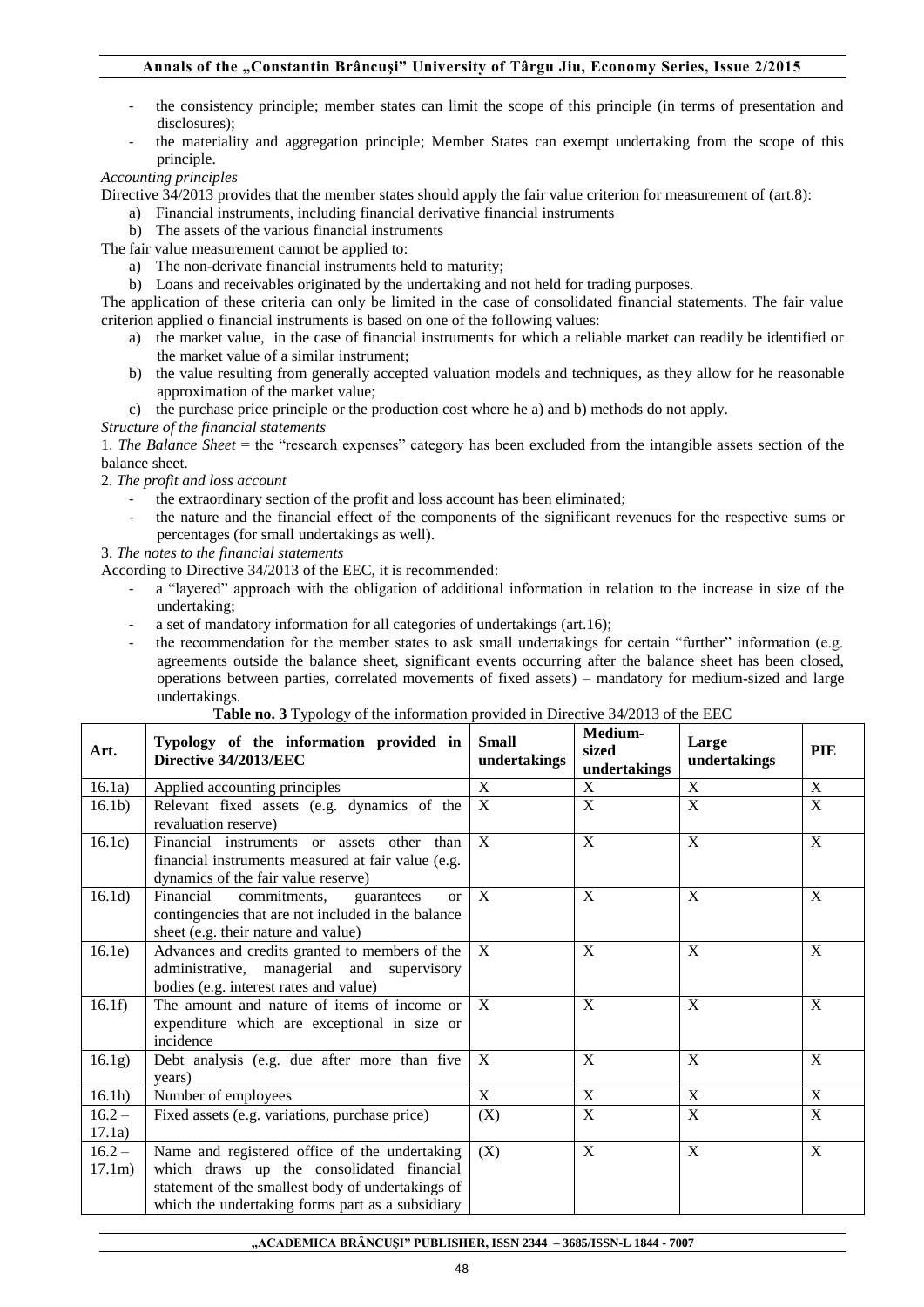## **Annals of the "Constantin Brâncuşi" University of Târgu Jiu, Economy Series, Issue 2/2015**

- the consistency principle; member states can limit the scope of this principle (in terms of presentation and disclosures);
- the materiality and aggregation principle; Member States can exempt undertaking from the scope of this principle.

## *Accounting principles*

Directive 34/2013 provides that the member states should apply the fair value criterion for measurement of (art.8):

- a) Financial instruments, including financial derivative financial instruments
- b) The assets of the various financial instruments

The fair value measurement cannot be applied to:

- a) The non-derivate financial instruments held to maturity;
- b) Loans and receivables originated by the undertaking and not held for trading purposes.

The application of these criteria can only be limited in the case of consolidated financial statements. The fair value criterion applied o financial instruments is based on one of the following values:

- a) the market value, in the case of financial instruments for which a reliable market can readily be identified or the market value of a similar instrument;
- b) the value resulting from generally accepted valuation models and techniques, as they allow for he reasonable approximation of the market value;
- c) the purchase price principle or the production cost where he a) and b) methods do not apply.

## *Structure of the financial statements*

1. *The Balance Sheet* = the "research expenses" category has been excluded from the intangible assets section of the balance sheet.

## 2. *The profit and loss account*

- the extraordinary section of the profit and loss account has been eliminated;
- the nature and the financial effect of the components of the significant revenues for the respective sums or percentages (for small undertakings as well).
- 3. *The notes to the financial statements*

According to Directive 34/2013 of the EEC, it is recommended:

- a "layered" approach with the obligation of additional information in relation to the increase in size of the undertaking;
- a set of mandatory information for all categories of undertakings (art.16);
- the recommendation for the member states to ask small undertakings for certain "further" information (e.g. agreements outside the balance sheet, significant events occurring after the balance sheet has been closed, operations between parties, correlated movements of fixed assets) – mandatory for medium-sized and large undertakings.

## **Table no. 3** Typology of the information provided in Directive 34/2013 of the EEC

| Art.               | Typology of the information provided in<br>Directive 34/2013/EEC                                                                                                                                    | <b>Small</b><br>undertakings | Medium-<br>sized<br>undertakings | Large<br>undertakings | PIE            |
|--------------------|-----------------------------------------------------------------------------------------------------------------------------------------------------------------------------------------------------|------------------------------|----------------------------------|-----------------------|----------------|
| 16.1a)             | Applied accounting principles                                                                                                                                                                       | X                            | X                                | X                     | X              |
| 16.1 <sub>b</sub>  | Relevant fixed assets (e.g. dynamics of the<br>revaluation reserve)                                                                                                                                 | X                            | X                                | X                     | X              |
| 16.1c)             | Financial instruments or assets other<br>than<br>financial instruments measured at fair value (e.g.<br>dynamics of the fair value reserve)                                                          | X                            | X                                | X                     | X              |
| 16.1d)             | Financial<br>commitments,<br>guarantees<br><sub>or</sub><br>contingencies that are not included in the balance<br>sheet (e.g. their nature and value)                                               | X                            | X                                | X                     | X              |
| 16.1e)             | Advances and credits granted to members of the<br>administrative, managerial and supervisory<br>bodies (e.g. interest rates and value)                                                              | X                            | X                                | X                     | X              |
| 16.1f)             | The amount and nature of items of income or<br>expenditure which are exceptional in size or<br>incidence                                                                                            | X                            | X                                | X                     | X              |
| 16.1g)             | Debt analysis (e.g. due after more than five<br>years)                                                                                                                                              | X                            | X                                | X                     | X              |
| 16.1h)             | Number of employees                                                                                                                                                                                 | X                            | X                                | X                     | X              |
| $16.2 -$<br>17.1a) | Fixed assets (e.g. variations, purchase price)                                                                                                                                                      | (X)                          | X                                | $\mathbf X$           | X              |
| $16.2 -$<br>17.1m) | Name and registered office of the undertaking<br>which draws up the consolidated financial<br>statement of the smallest body of undertakings of<br>which the undertaking forms part as a subsidiary | (X)                          | $\overline{X}$                   | $\overline{X}$        | $\overline{X}$ |

**"ACADEMICA BRÂNCUŞI" PUBLISHER, ISSN 2344 – 3685/ISSN-L 1844 - 7007**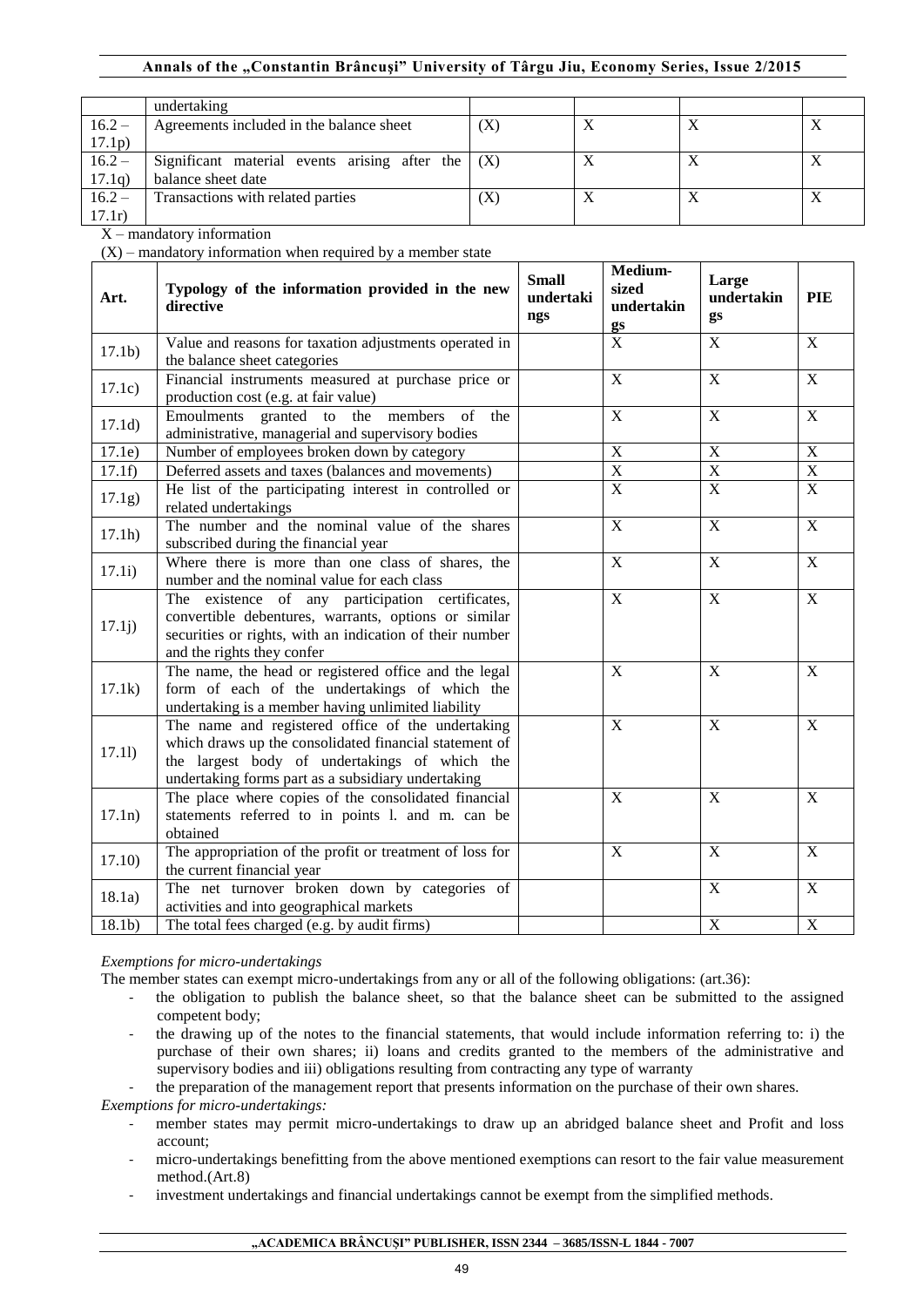## **Annals of the "Constantin Brâncuşi" University of Târgu Jiu, Economy Series, Issue 2/2015**

|                   | undertaking                                         |     |   |  |
|-------------------|-----------------------------------------------------|-----|---|--|
| $16.2 -$          | Agreements included in the balance sheet            | (X) | △ |  |
| 17.1 <sub>p</sub> |                                                     |     |   |  |
| $16.2 -$          | Significant material events arising after the $(X)$ |     | Δ |  |
| 17.1q)            | balance sheet date                                  |     |   |  |
| $16.2 -$          | Transactions with related parties                   | (X  | Δ |  |
| 17.1r)            |                                                     |     |   |  |

X – mandatory information

 $(X)$  – mandatory information when required by a member state

| Art.              | Typology of the information provided in the new<br>directive                                                                                                                                                       | <b>Small</b><br>undertaki<br>ngs | Medium-<br>sized<br>undertakin<br>gs | Large<br>undertakin<br>gs | PIE                     |
|-------------------|--------------------------------------------------------------------------------------------------------------------------------------------------------------------------------------------------------------------|----------------------------------|--------------------------------------|---------------------------|-------------------------|
| 17.1 <sub>b</sub> | Value and reasons for taxation adjustments operated in<br>the balance sheet categories                                                                                                                             |                                  | $\overline{\mathrm{X}}$              | $\overline{X}$            | X                       |
| 17.1c)            | Financial instruments measured at purchase price or<br>production cost (e.g. at fair value)                                                                                                                        |                                  | $\overline{X}$                       | $\overline{X}$            | $\overline{X}$          |
| 17.1d)            | Emoulments granted to the members<br>of the<br>administrative, managerial and supervisory bodies                                                                                                                   |                                  | $\overline{X}$                       | $\overline{X}$            | $\overline{X}$          |
| 17.1e)            | Number of employees broken down by category                                                                                                                                                                        |                                  | $\overline{\mathbf{X}}$              | $\overline{X}$            | $\overline{X}$          |
| 17.1f             | Deferred assets and taxes (balances and movements)                                                                                                                                                                 |                                  | $\overline{\textbf{X}}$              | $\overline{X}$            | $\overline{\textbf{X}}$ |
| 17.1g)            | He list of the participating interest in controlled or<br>related undertakings                                                                                                                                     |                                  | $\overline{X}$                       | $\overline{X}$            | $\overline{X}$          |
| 17.1h)            | The number and the nominal value of the shares<br>subscribed during the financial year                                                                                                                             |                                  | $\overline{\mathbf{X}}$              | $\overline{X}$            | $\overline{X}$          |
| 17.1i)            | Where there is more than one class of shares, the<br>number and the nominal value for each class                                                                                                                   |                                  | $\overline{X}$                       | $\overline{X}$            | $\overline{X}$          |
| 17.1j)            | The existence of any participation certificates,<br>convertible debentures, warrants, options or similar<br>securities or rights, with an indication of their number<br>and the rights they confer                 |                                  | $\mathbf X$                          | $\mathbf X$               | $\mathbf X$             |
| 17.1k)            | The name, the head or registered office and the legal<br>form of each of the undertakings of which the<br>undertaking is a member having unlimited liability                                                       |                                  | $\overline{X}$                       | $\overline{X}$            | $\mathbf X$             |
| 17.11)            | The name and registered office of the undertaking<br>which draws up the consolidated financial statement of<br>the largest body of undertakings of which the<br>undertaking forms part as a subsidiary undertaking |                                  | $\overline{X}$                       | $\overline{X}$            | $\overline{X}$          |
| 17.1n)            | The place where copies of the consolidated financial<br>statements referred to in points 1. and m. can be<br>obtained                                                                                              |                                  | $\boldsymbol{\mathrm{X}}$            | $\mathbf X$               | $\mathbf X$             |
| 17.10)            | The appropriation of the profit or treatment of loss for<br>the current financial year                                                                                                                             |                                  | $\mathbf X$                          | $\mathbf X$               | $\mathbf X$             |
| 18.1a)            | The net turnover broken down by categories of<br>activities and into geographical markets                                                                                                                          |                                  |                                      | $\mathbf X$               | $\mathbf X$             |
| 18.1 <sub>b</sub> | The total fees charged (e.g. by audit firms)                                                                                                                                                                       |                                  |                                      | $\mathbf X$               | $\mathbf X$             |

# *Exemptions for micro-undertakings*

The member states can exempt micro-undertakings from any or all of the following obligations: (art.36):

- the obligation to publish the balance sheet, so that the balance sheet can be submitted to the assigned competent body;
- the drawing up of the notes to the financial statements, that would include information referring to: i) the purchase of their own shares; ii) loans and credits granted to the members of the administrative and supervisory bodies and iii) obligations resulting from contracting any type of warranty

the preparation of the management report that presents information on the purchase of their own shares.

*Exemptions for micro-undertakings:*

- member states may permit micro-undertakings to draw up an abridged balance sheet and Profit and loss account;
- micro-undertakings benefitting from the above mentioned exemptions can resort to the fair value measurement method.(Art.8)
- investment undertakings and financial undertakings cannot be exempt from the simplified methods.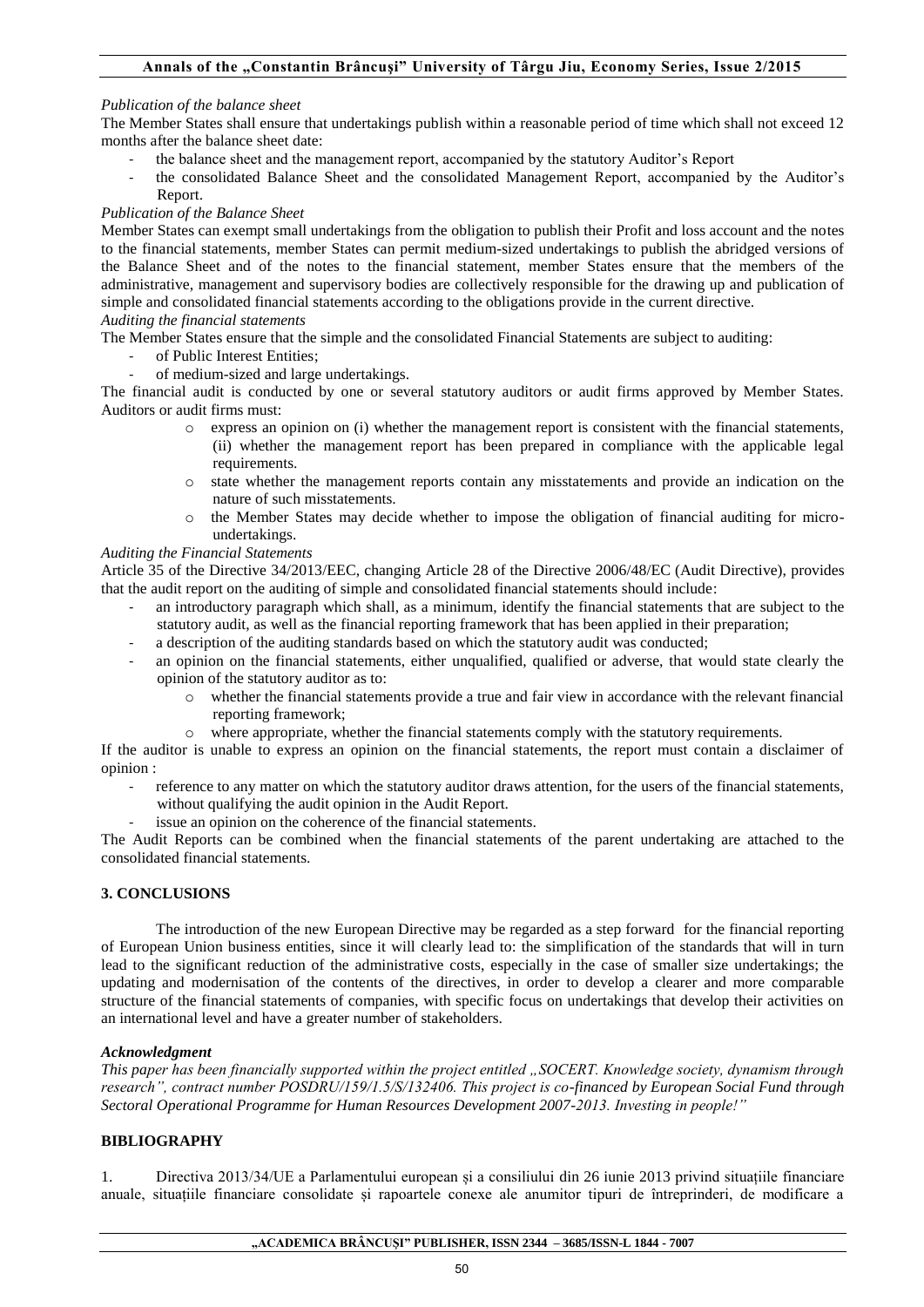#### *Publication of the balance sheet*

The Member States shall ensure that undertakings publish within a reasonable period of time which shall not exceed 12 months after the balance sheet date:

- the balance sheet and the management report, accompanied by the statutory Auditor's Report
- the consolidated Balance Sheet and the consolidated Management Report, accompanied by the Auditor's Report.

#### *Publication of the Balance Sheet*

Member States can exempt small undertakings from the obligation to publish their Profit and loss account and the notes to the financial statements, member States can permit medium-sized undertakings to publish the abridged versions of the Balance Sheet and of the notes to the financial statement, member States ensure that the members of the administrative, management and supervisory bodies are collectively responsible for the drawing up and publication of simple and consolidated financial statements according to the obligations provide in the current directive. *Auditing the financial statements* 

The Member States ensure that the simple and the consolidated Financial Statements are subject to auditing:

- of Public Interest Entities;
- of medium-sized and large undertakings.

The financial audit is conducted by one or several statutory auditors or audit firms approved by Member States. Auditors or audit firms must:

- o express an opinion on (i) whether the management report is consistent with the financial statements, (ii) whether the management report has been prepared in compliance with the applicable legal requirements.
- o state whether the management reports contain any misstatements and provide an indication on the nature of such misstatements.
- o the Member States may decide whether to impose the obligation of financial auditing for microundertakings.

#### *Auditing the Financial Statements*

Article 35 of the Directive 34/2013/EEC, changing Article 28 of the Directive 2006/48/EC (Audit Directive), provides that the audit report on the auditing of simple and consolidated financial statements should include:

- an introductory paragraph which shall, as a minimum, identify the financial statements that are subject to the statutory audit, as well as the financial reporting framework that has been applied in their preparation;
- a description of the auditing standards based on which the statutory audit was conducted;
- an opinion on the financial statements, either unqualified, qualified or adverse, that would state clearly the opinion of the statutory auditor as to:
	- o whether the financial statements provide a true and fair view in accordance with the relevant financial reporting framework;
	- $\circ$  where appropriate, whether the financial statements comply with the statutory requirements.

If the auditor is unable to express an opinion on the financial statements, the report must contain a disclaimer of opinion :

- reference to any matter on which the statutory auditor draws attention, for the users of the financial statements, without qualifying the audit opinion in the Audit Report.
	- issue an opinion on the coherence of the financial statements.

The Audit Reports can be combined when the financial statements of the parent undertaking are attached to the consolidated financial statements.

## **3. CONCLUSIONS**

The introduction of the new European Directive may be regarded as a step forward for the financial reporting of European Union business entities, since it will clearly lead to: the simplification of the standards that will in turn lead to the significant reduction of the administrative costs, especially in the case of smaller size undertakings; the updating and modernisation of the contents of the directives, in order to develop a clearer and more comparable structure of the financial statements of companies, with specific focus on undertakings that develop their activities on an international level and have a greater number of stakeholders.

## *Acknowledgment*

*This paper has been financially supported within the project entitled "SOCERT. Knowledge society, dynamism through research", contract number POSDRU/159/1.5/S/132406. This project is co-financed by European Social Fund through Sectoral Operational Programme for Human Resources Development 2007-2013. Investing in people!"*

## **BIBLIOGRAPHY**

1. Directiva 2013/34/UE a Parlamentului european și a consiliului din 26 iunie 2013 privind situațiile financiare anuale, situațiile financiare consolidate și rapoartele conexe ale anumitor tipuri de întreprinderi, de modificare a